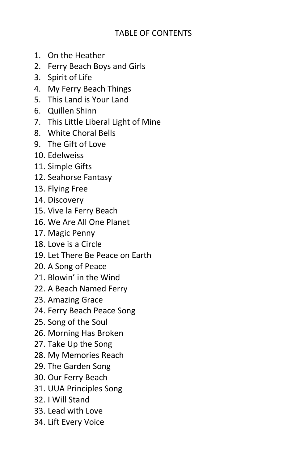# TABLE OF CONTENTS

- 1. On the Heather
- 2. Ferry Beach Boys and Girls
- 3. Spirit of Life
- 4. My Ferry Beach Things
- 5. This Land is Your Land
- 6. Quillen Shinn
- 7. This Little Liberal Light of Mine
- 8. White Choral Bells
- 9. The Gift of Love
- 10. Edelweiss
- 11. Simple Gifts
- 12. Seahorse Fantasy
- 13. Flying Free
- 14. Discovery
- 15. Vive la Ferry Beach
- 16. We Are All One Planet
- 17. Magic Penny
- 18. Love is a Circle
- 19. Let There Be Peace on Earth
- 20. A Song of Peace
- 21. Blowin' in the Wind
- 22. A Beach Named Ferry
- 23. Amazing Grace
- 24. Ferry Beach Peace Song
- 25. Song of the Soul
- 26. Morning Has Broken
- 27. Take Up the Song
- 28. My Memories Reach
- 29. The Garden Song
- 30. Our Ferry Beach
- 31. UUA Principles Song
- 32. I Will Stand
- 33. Lead with Love
- 34. Lift Every Voice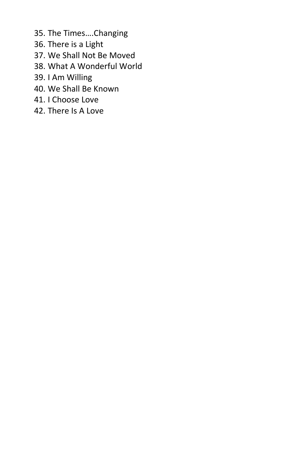35. The Times….Changing

- 36. There is a Light
- 37. We Shall Not Be Moved
- 38. What A Wonderful World
- 39. I Am Willing
- 40. We Shall Be Known
- 41. I Choose Love
- 42. There Is A Love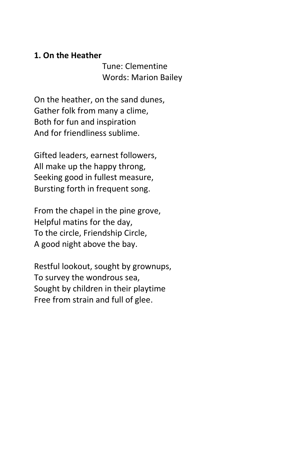#### **1. On the Heather**

Tune: Clementine Words: Marion Bailey

On the heather, on the sand dunes, Gather folk from many a clime, Both for fun and inspiration And for friendliness sublime.

Gifted leaders, earnest followers, All make up the happy throng, Seeking good in fullest measure, Bursting forth in frequent song.

From the chapel in the pine grove, Helpful matins for the day, To the circle, Friendship Circle, A good night above the bay.

Restful lookout, sought by grownups, To survey the wondrous sea, Sought by children in their playtime Free from strain and full of glee.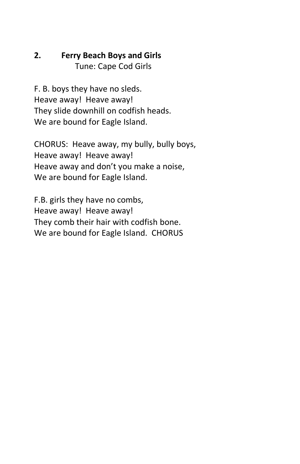# **2. Ferry Beach Boys and Girls** Tune: Cape Cod Girls

F. B. boys they have no sleds. Heave away! Heave away! They slide downhill on codfish heads. We are bound for Eagle Island.

CHORUS: Heave away, my bully, bully boys, Heave away! Heave away! Heave away and don't you make a noise, We are bound for Eagle Island.

F.B. girls they have no combs, Heave away! Heave away! They comb their hair with codfish bone. We are bound for Eagle Island. CHORUS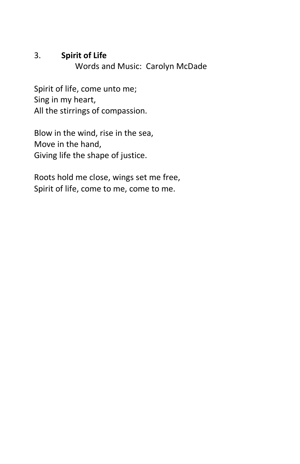# 3. **Spirit of Life**

Words and Music: Carolyn McDade

Spirit of life, come unto me; Sing in my heart, All the stirrings of compassion.

Blow in the wind, rise in the sea, Move in the hand, Giving life the shape of justice.

Roots hold me close, wings set me free, Spirit of life, come to me, come to me.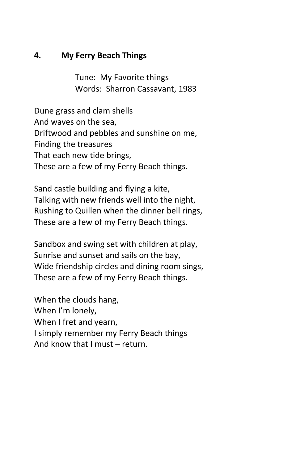# **4. My Ferry Beach Things**

Tune: My Favorite things Words: Sharron Cassavant, 1983

Dune grass and clam shells And waves on the sea, Driftwood and pebbles and sunshine on me, Finding the treasures That each new tide brings, These are a few of my Ferry Beach things.

Sand castle building and flying a kite, Talking with new friends well into the night, Rushing to Quillen when the dinner bell rings, These are a few of my Ferry Beach things.

Sandbox and swing set with children at play, Sunrise and sunset and sails on the bay, Wide friendship circles and dining room sings, These are a few of my Ferry Beach things.

When the clouds hang, When I'm lonely, When I fret and yearn, I simply remember my Ferry Beach things And know that I must – return.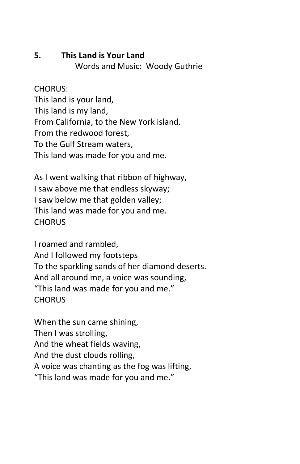#### **5. This Land is Your Land**

Words and Music: Woody Guthrie

CHORUS:

This land is your land, This land is my land, From California, to the New York island. From the redwood forest, To the Gulf Stream waters, This land was made for you and me.

As I went walking that ribbon of highway, I saw above me that endless skyway; I saw below me that golden valley; This land was made for you and me. **CHORUS** 

I roamed and rambled, And I followed my footsteps To the sparkling sands of her diamond deserts. And all around me, a voice was sounding, "This land was made for you and me." CHORUS

When the sun came shining, Then I was strolling, And the wheat fields waving, And the dust clouds rolling, A voice was chanting as the fog was lifting, "This land was made for you and me."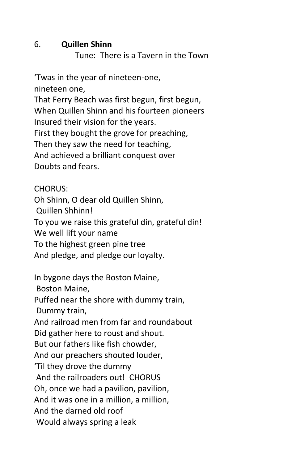# 6. **Quillen Shinn**

Tune: There is a Tavern in the Town

'Twas in the year of nineteen-one, nineteen one, That Ferry Beach was first begun, first begun, When Quillen Shinn and his fourteen pioneers Insured their vision for the years. First they bought the grove for preaching, Then they saw the need for teaching, And achieved a brilliant conquest over Doubts and fears.

CHORUS: Oh Shinn, O dear old Quillen Shinn, Quillen Shhinn! To you we raise this grateful din, grateful din! We well lift your name To the highest green pine tree And pledge, and pledge our loyalty.

In bygone days the Boston Maine, Boston Maine, Puffed near the shore with dummy train, Dummy train, And railroad men from far and roundabout Did gather here to roust and shout. But our fathers like fish chowder, And our preachers shouted louder, 'Til they drove the dummy And the railroaders out! CHORUS Oh, once we had a pavilion, pavilion, And it was one in a million, a million, And the darned old roof Would always spring a leak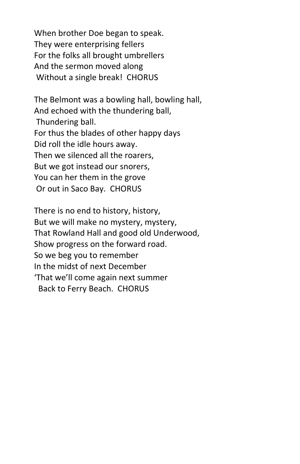When brother Doe began to speak. They were enterprising fellers For the folks all brought umbrellers And the sermon moved along Without a single break! CHORUS

The Belmont was a bowling hall, bowling hall, And echoed with the thundering ball, Thundering ball. For thus the blades of other happy days Did roll the idle hours away. Then we silenced all the roarers, But we got instead our snorers, You can her them in the grove Or out in Saco Bay. CHORUS

There is no end to history, history, But we will make no mystery, mystery, That Rowland Hall and good old Underwood, Show progress on the forward road. So we beg you to remember In the midst of next December 'That we'll come again next summer Back to Ferry Beach. CHORUS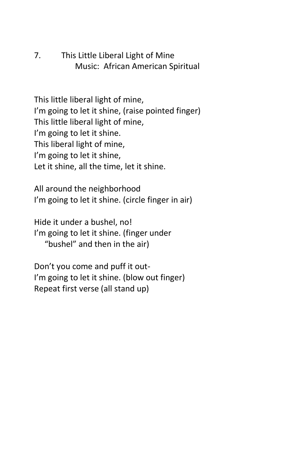7. This Little Liberal Light of Mine Music: African American Spiritual

This little liberal light of mine, I'm going to let it shine, (raise pointed finger) This little liberal light of mine, I'm going to let it shine. This liberal light of mine, I'm going to let it shine, Let it shine, all the time, let it shine.

All around the neighborhood I'm going to let it shine. (circle finger in air)

Hide it under a bushel, no! I'm going to let it shine. (finger under "bushel" and then in the air)

Don't you come and puff it out-I'm going to let it shine. (blow out finger) Repeat first verse (all stand up)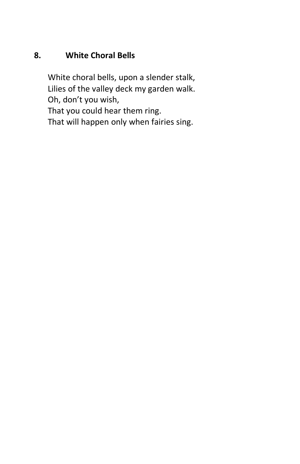# **8. White Choral Bells**

White choral bells, upon a slender stalk, Lilies of the valley deck my garden walk. Oh, don't you wish, That you could hear them ring. That will happen only when fairies sing.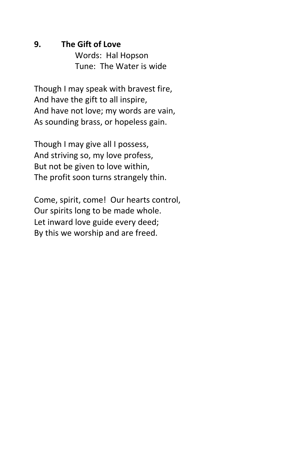# **9. The Gift of Love** Words: Hal Hopson Tune: The Water is wide

Though I may speak with bravest fire, And have the gift to all inspire, And have not love; my words are vain, As sounding brass, or hopeless gain.

Though I may give all I possess, And striving so, my love profess, But not be given to love within, The profit soon turns strangely thin.

Come, spirit, come! Our hearts control, Our spirits long to be made whole. Let inward love guide every deed; By this we worship and are freed.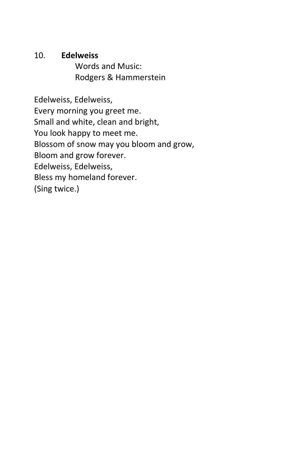# 10. **Edelweiss**

Words and Music: Rodgers & Hammerstein

Edelweiss, Edelweiss, Every morning you greet me. Small and white, clean and bright, You look happy to meet me. Blossom of snow may you bloom and grow, Bloom and grow forever. Edelweiss, Edelweiss, Bless my homeland forever. (Sing twice.)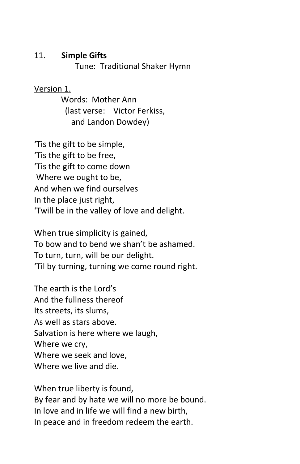#### 11. **Simple Gifts**

Tune: Traditional Shaker Hymn

#### Version 1.

 Words: Mother Ann (last verse: Victor Ferkiss, and Landon Dowdey)

'Tis the gift to be simple, 'Tis the gift to be free, 'Tis the gift to come down Where we ought to be, And when we find ourselves In the place just right, 'Twill be in the valley of love and delight.

When true simplicity is gained, To bow and to bend we shan't be ashamed. To turn, turn, will be our delight. 'Til by turning, turning we come round right.

The earth is the Lord's And the fullness thereof Its streets, its slums, As well as stars above. Salvation is here where we laugh, Where we cry, Where we seek and love, Where we live and die.

When true liberty is found, By fear and by hate we will no more be bound. In love and in life we will find a new birth, In peace and in freedom redeem the earth.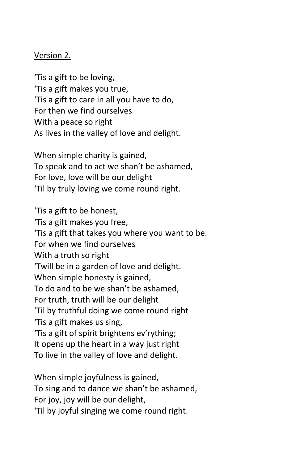#### Version 2.

'Tis a gift to be loving, 'Tis a gift makes you true, 'Tis a gift to care in all you have to do, For then we find ourselves With a peace so right As lives in the valley of love and delight.

When simple charity is gained, To speak and to act we shan't be ashamed, For love, love will be our delight 'Til by truly loving we come round right.

'Tis a gift to be honest, 'Tis a gift makes you free, 'Tis a gift that takes you where you want to be. For when we find ourselves With a truth so right 'Twill be in a garden of love and delight. When simple honesty is gained, To do and to be we shan't be ashamed, For truth, truth will be our delight 'Til by truthful doing we come round right 'Tis a gift makes us sing, 'Tis a gift of spirit brightens ev'rything; It opens up the heart in a way just right To live in the valley of love and delight.

When simple joyfulness is gained, To sing and to dance we shan't be ashamed, For joy, joy will be our delight, 'Til by joyful singing we come round right.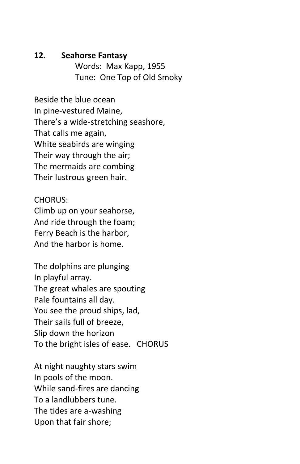#### **12. Seahorse Fantasy**

Words: Max Kapp, 1955 Tune: One Top of Old Smoky

Beside the blue ocean In pine-vestured Maine, There's a wide-stretching seashore, That calls me again, White seabirds are winging Their way through the air; The mermaids are combing Their lustrous green hair.

#### CHORUS:

Climb up on your seahorse, And ride through the foam; Ferry Beach is the harbor, And the harbor is home.

The dolphins are plunging In playful array. The great whales are spouting Pale fountains all day. You see the proud ships, lad, Their sails full of breeze, Slip down the horizon To the bright isles of ease. CHORUS

At night naughty stars swim In pools of the moon. While sand-fires are dancing To a landlubbers tune. The tides are a-washing Upon that fair shore;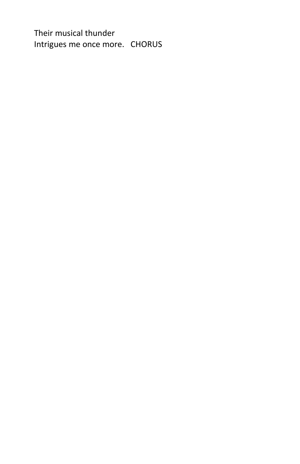Their musical thunder Intrigues me once more. CHORUS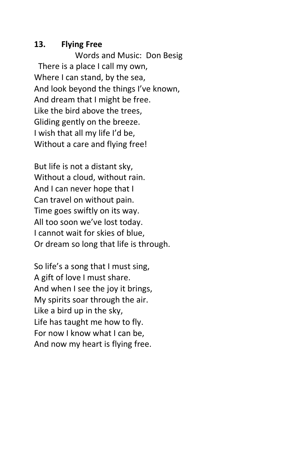#### **13. Flying Free**

Words and Music: Don Besig There is a place I call my own, Where I can stand, by the sea, And look beyond the things I've known, And dream that I might be free. Like the bird above the trees, Gliding gently on the breeze. I wish that all my life I'd be, Without a care and flying free!

But life is not a distant sky, Without a cloud, without rain. And I can never hope that I Can travel on without pain. Time goes swiftly on its way. All too soon we've lost today. I cannot wait for skies of blue, Or dream so long that life is through.

So life's a song that I must sing, A gift of love I must share. And when I see the joy it brings, My spirits soar through the air. Like a bird up in the sky, Life has taught me how to fly. For now I know what I can be, And now my heart is flying free.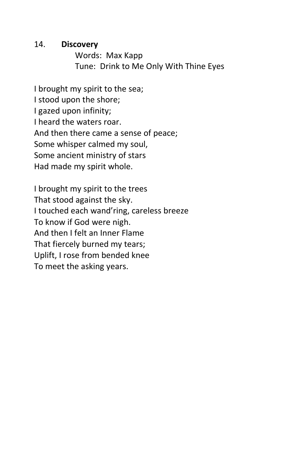#### 14. **Discovery**

Words: Max Kapp Tune: Drink to Me Only With Thine Eyes

I brought my spirit to the sea; I stood upon the shore; I gazed upon infinity; I heard the waters roar. And then there came a sense of peace; Some whisper calmed my soul, Some ancient ministry of stars Had made my spirit whole.

I brought my spirit to the trees That stood against the sky. I touched each wand'ring, careless breeze To know if God were nigh. And then I felt an Inner Flame That fiercely burned my tears; Uplift, I rose from bended knee To meet the asking years.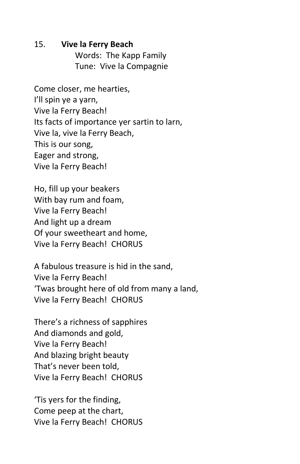# 15. **Vive la Ferry Beach** Words: The Kapp Family Tune: Vive la Compagnie

Come closer, me hearties, I'll spin ye a yarn, Vive la Ferry Beach! Its facts of importance yer sartin to larn, Vive la, vive la Ferry Beach, This is our song, Eager and strong, Vive la Ferry Beach!

Ho, fill up your beakers With bay rum and foam, Vive la Ferry Beach! And light up a dream Of your sweetheart and home, Vive la Ferry Beach! CHORUS

A fabulous treasure is hid in the sand, Vive la Ferry Beach! 'Twas brought here of old from many a land, Vive la Ferry Beach! CHORUS

There's a richness of sapphires And diamonds and gold, Vive la Ferry Beach! And blazing bright beauty That's never been told, Vive la Ferry Beach! CHORUS

'Tis yers for the finding, Come peep at the chart, Vive la Ferry Beach! CHORUS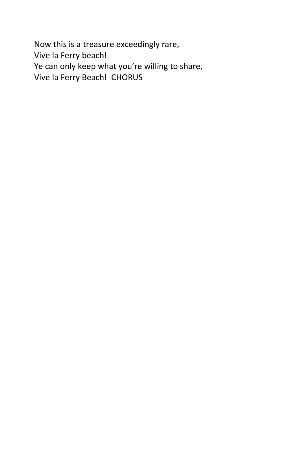Now this is a treasure exceedingly rare, Vive la Ferry beach! Ye can only keep what you're willing to share, Vive la Ferry Beach! CHORUS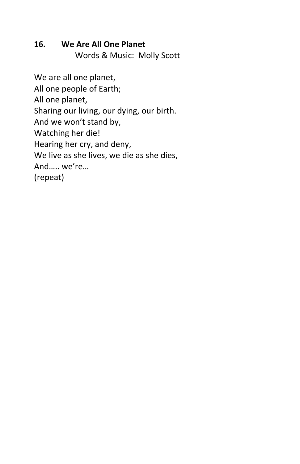# **16. We Are All One Planet**

Words & Music: Molly Scott

We are all one planet, All one people of Earth; All one planet, Sharing our living, our dying, our birth. And we won't stand by, Watching her die! Hearing her cry, and deny, We live as she lives, we die as she dies, And….. we're… (repeat)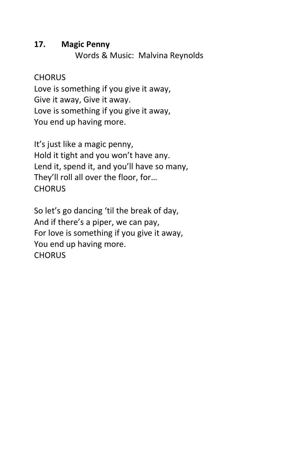# **17. Magic Penny**

Words & Music: Malvina Reynolds

# **CHORUS**

Love is something if you give it away, Give it away, Give it away. Love is something if you give it away, You end up having more.

It's just like a magic penny, Hold it tight and you won't have any. Lend it, spend it, and you'll have so many, They'll roll all over the floor, for… **CHORUS** 

So let's go dancing 'til the break of day, And if there's a piper, we can pay, For love is something if you give it away, You end up having more. **CHORUS**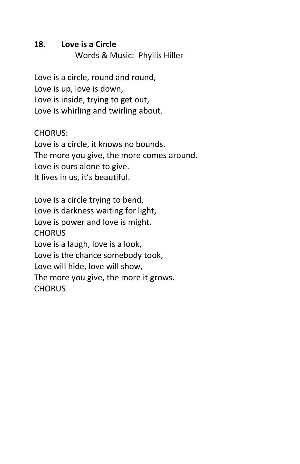#### **18. Love is a Circle** Words & Music: Phyllis Hiller

Love is a circle, round and round, Love is up, love is down, Love is inside, trying to get out, Love is whirling and twirling about.

CHORUS: Love is a circle, it knows no bounds. The more you give, the more comes around. Love is ours alone to give. It lives in us, it's beautiful.

Love is a circle trying to bend, Love is darkness waiting for light, Love is power and love is might. **CHORUS** Love is a laugh, love is a look, Love is the chance somebody took, Love will hide, love will show, The more you give, the more it grows. **CHORUS**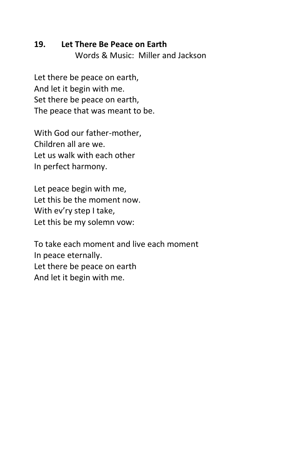#### **19. Let There Be Peace on Earth** Words & Music: Miller and Jackson

Let there be peace on earth, And let it begin with me. Set there be peace on earth, The peace that was meant to be.

With God our father-mother, Children all are we. Let us walk with each other In perfect harmony.

Let peace begin with me, Let this be the moment now. With ev'ry step I take, Let this be my solemn vow:

To take each moment and live each moment In peace eternally. Let there be peace on earth And let it begin with me.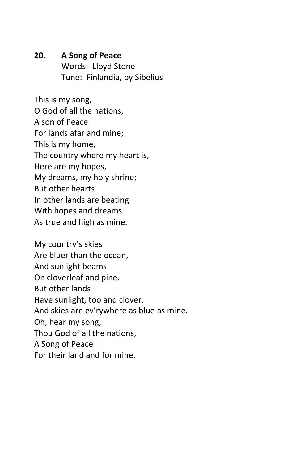#### **20. A Song of Peace**

Words: Lloyd Stone Tune: Finlandia, by Sibelius

This is my song, O God of all the nations, A son of Peace For lands afar and mine; This is my home, The country where my heart is, Here are my hopes, My dreams, my holy shrine; But other hearts In other lands are beating With hopes and dreams As true and high as mine.

My country's skies Are bluer than the ocean, And sunlight beams On cloverleaf and pine. But other lands Have sunlight, too and clover, And skies are ev'rywhere as blue as mine. Oh, hear my song, Thou God of all the nations, A Song of Peace For their land and for mine.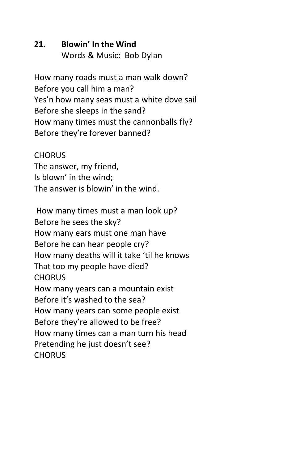#### **21. Blowin' In the Wind** Words & Music: Bob Dylan

How many roads must a man walk down? Before you call him a man? Yes'n how many seas must a white dove sail Before she sleeps in the sand? How many times must the cannonballs fly? Before they're forever banned?

**CHORUS** The answer, my friend, Is blown' in the wind; The answer is blowin' in the wind.

How many times must a man look up? Before he sees the sky? How many ears must one man have Before he can hear people cry? How many deaths will it take 'til he knows That too my people have died? **CHORUS** How many years can a mountain exist Before it's washed to the sea? How many years can some people exist Before they're allowed to be free? How many times can a man turn his head Pretending he just doesn't see? **CHORUS**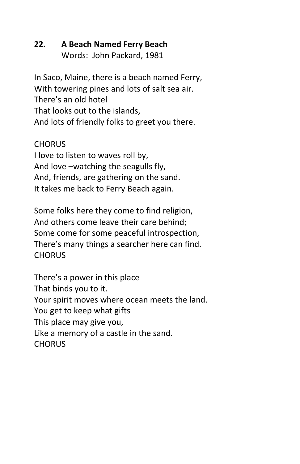# **22. A Beach Named Ferry Beach**

Words: John Packard, 1981

In Saco, Maine, there is a beach named Ferry, With towering pines and lots of salt sea air. There's an old hotel That looks out to the islands, And lots of friendly folks to greet you there.

**CHORUS** I love to listen to waves roll by, And love –watching the seagulls fly, And, friends, are gathering on the sand. It takes me back to Ferry Beach again.

Some folks here they come to find religion, And others come leave their care behind; Some come for some peaceful introspection, There's many things a searcher here can find. **CHORUS** 

There's a power in this place That binds you to it. Your spirit moves where ocean meets the land. You get to keep what gifts This place may give you, Like a memory of a castle in the sand. **CHORUS**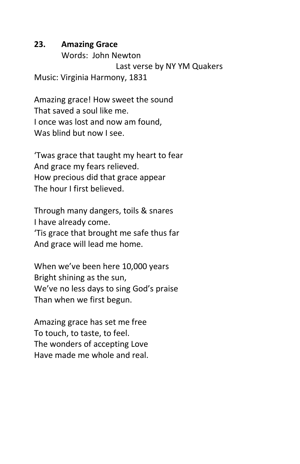#### **23. Amazing Grace**

Words: John Newton Last verse by NY YM Quakers Music: Virginia Harmony, 1831

Amazing grace! How sweet the sound That saved a soul like me. I once was lost and now am found, Was blind but now I see.

'Twas grace that taught my heart to fear And grace my fears relieved. How precious did that grace appear The hour I first believed.

Through many dangers, toils & snares I have already come.

'Tis grace that brought me safe thus far And grace will lead me home.

When we've been here 10,000 years Bright shining as the sun, We've no less days to sing God's praise Than when we first begun.

Amazing grace has set me free To touch, to taste, to feel. The wonders of accepting Love Have made me whole and real.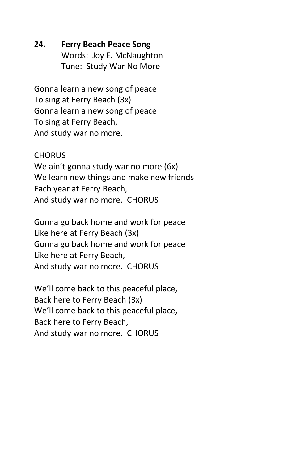**24. Ferry Beach Peace Song** Words: Joy E. McNaughton Tune: Study War No More

Gonna learn a new song of peace To sing at Ferry Beach (3x) Gonna learn a new song of peace To sing at Ferry Beach, And study war no more.

#### **CHORUS**

We ain't gonna study war no more (6x) We learn new things and make new friends Each year at Ferry Beach, And study war no more. CHORUS

Gonna go back home and work for peace Like here at Ferry Beach (3x) Gonna go back home and work for peace Like here at Ferry Beach, And study war no more. CHORUS

We'll come back to this peaceful place, Back here to Ferry Beach (3x) We'll come back to this peaceful place, Back here to Ferry Beach, And study war no more. CHORUS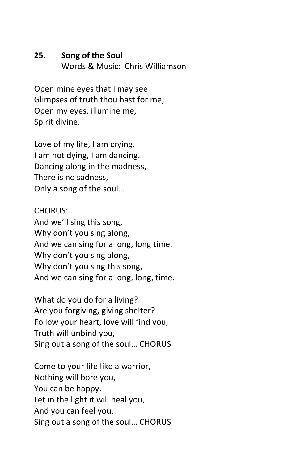# **25. Song of the Soul**

Words & Music: Chris Williamson

Open mine eyes that I may see Glimpses of truth thou hast for me; Open my eyes, illumine me, Spirit divine.

Love of my life, I am crying. I am not dying, I am dancing. Dancing along in the madness, There is no sadness, Only a song of the soul…

CHORUS: And we'll sing this song, Why don't you sing along, And we can sing for a long, long time. Why don't you sing along, Why don't you sing this song, And we can sing for a long, long, time.

What do you do for a living? Are you forgiving, giving shelter? Follow your heart, love will find you, Truth will unbind you, Sing out a song of the soul… CHORUS

Come to your life like a warrior, Nothing will bore you, You can be happy. Let in the light it will heal you, And you can feel you, Sing out a song of the soul… CHORUS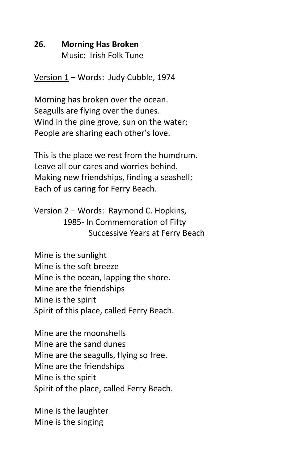#### **26. Morning Has Broken** Music: Irish Folk Tune

Version 1 – Words: Judy Cubble, 1974

Morning has broken over the ocean. Seagulls are flying over the dunes. Wind in the pine grove, sun on the water; People are sharing each other's love.

This is the place we rest from the humdrum. Leave all our cares and worries behind. Making new friendships, finding a seashell; Each of us caring for Ferry Beach.

Version 2 – Words: Raymond C. Hopkins, 1985- In Commemoration of Fifty Successive Years at Ferry Beach

Mine is the sunlight Mine is the soft breeze Mine is the ocean, lapping the shore. Mine are the friendships Mine is the spirit Spirit of this place, called Ferry Beach.

Mine are the moonshells Mine are the sand dunes Mine are the seagulls, flying so free. Mine are the friendships Mine is the spirit Spirit of the place, called Ferry Beach.

Mine is the laughter Mine is the singing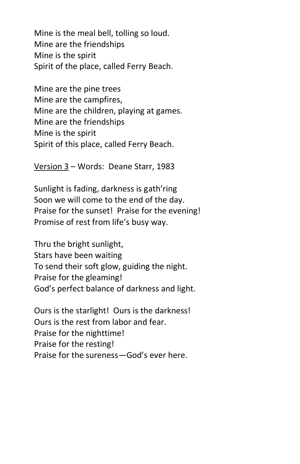Mine is the meal bell, tolling so loud. Mine are the friendships Mine is the spirit Spirit of the place, called Ferry Beach.

Mine are the pine trees Mine are the campfires, Mine are the children, playing at games. Mine are the friendships Mine is the spirit Spirit of this place, called Ferry Beach.

Version 3 – Words: Deane Starr, 1983

Sunlight is fading, darkness is gath'ring Soon we will come to the end of the day. Praise for the sunset! Praise for the evening! Promise of rest from life's busy way.

Thru the bright sunlight, Stars have been waiting To send their soft glow, guiding the night. Praise for the gleaming! God's perfect balance of darkness and light.

Ours is the starlight! Ours is the darkness! Ours is the rest from labor and fear. Praise for the nighttime! Praise for the resting! Praise for the sureness—God's ever here.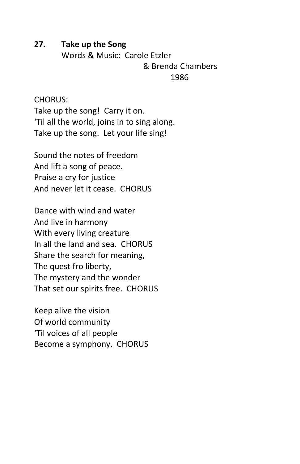#### **27. Take up the Song** Words & Music: Carole Etzler & Brenda Chambers 1986

CHORUS:

Take up the song! Carry it on. 'Til all the world, joins in to sing along. Take up the song. Let your life sing!

Sound the notes of freedom And lift a song of peace. Praise a cry for justice And never let it cease. CHORUS

Dance with wind and water And live in harmony With every living creature In all the land and sea. CHORUS Share the search for meaning, The quest fro liberty, The mystery and the wonder That set our spirits free. CHORUS

Keep alive the vision Of world community 'Til voices of all people Become a symphony. CHORUS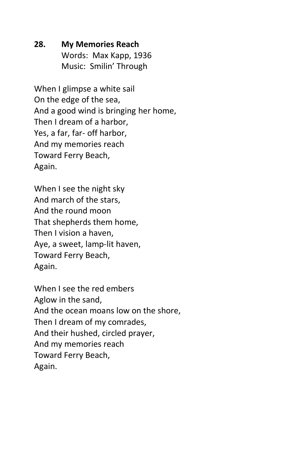**28. My Memories Reach** Words: Max Kapp, 1936 Music: Smilin' Through

When I glimpse a white sail On the edge of the sea, And a good wind is bringing her home, Then I dream of a harbor, Yes, a far, far- off harbor, And my memories reach Toward Ferry Beach, Again.

When I see the night sky And march of the stars, And the round moon That shepherds them home, Then I vision a haven, Aye, a sweet, lamp-lit haven, Toward Ferry Beach, Again.

When I see the red embers Aglow in the sand, And the ocean moans low on the shore, Then I dream of my comrades, And their hushed, circled prayer, And my memories reach Toward Ferry Beach, Again.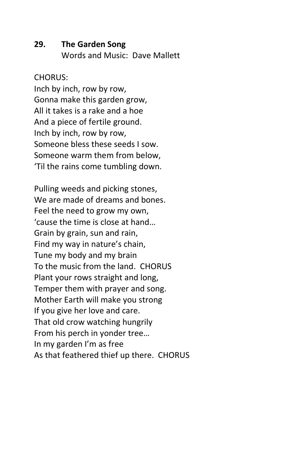## **29. The Garden Song** Words and Music: Dave Mallett

#### CHORUS:

Inch by inch, row by row, Gonna make this garden grow, All it takes is a rake and a hoe And a piece of fertile ground. Inch by inch, row by row, Someone bless these seeds I sow. Someone warm them from below, 'Til the rains come tumbling down.

Pulling weeds and picking stones, We are made of dreams and bones. Feel the need to grow my own, 'cause the time is close at hand… Grain by grain, sun and rain, Find my way in nature's chain, Tune my body and my brain To the music from the land. CHORUS Plant your rows straight and long, Temper them with prayer and song. Mother Earth will make you strong If you give her love and care. That old crow watching hungrily From his perch in yonder tree… In my garden I'm as free As that feathered thief up there. CHORUS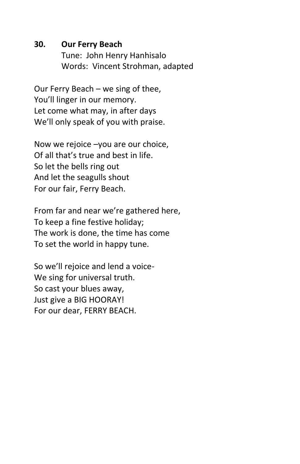#### **30. Our Ferry Beach**

Tune: John Henry Hanhisalo Words: Vincent Strohman, adapted

Our Ferry Beach – we sing of thee, You'll linger in our memory. Let come what may, in after days We'll only speak of you with praise.

Now we rejoice –you are our choice, Of all that's true and best in life. So let the bells ring out And let the seagulls shout For our fair, Ferry Beach.

From far and near we're gathered here, To keep a fine festive holiday; The work is done, the time has come To set the world in happy tune.

So we'll rejoice and lend a voice-We sing for universal truth. So cast your blues away, Just give a BIG HOORAY! For our dear, FERRY BEACH.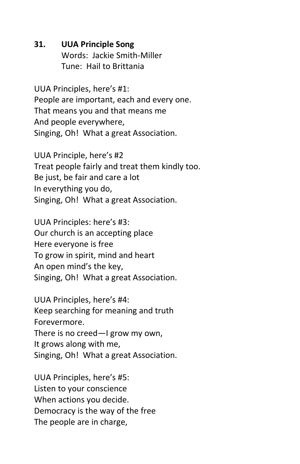## **31. UUA Principle Song** Words: Jackie Smith-Miller Tune: Hail to Brittania

UUA Principles, here's #1: People are important, each and every one. That means you and that means me And people everywhere, Singing, Oh! What a great Association.

UUA Principle, here's #2 Treat people fairly and treat them kindly too. Be just, be fair and care a lot In everything you do, Singing, Oh! What a great Association.

UUA Principles: here's #3: Our church is an accepting place Here everyone is free To grow in spirit, mind and heart An open mind's the key, Singing, Oh! What a great Association.

UUA Principles, here's #4: Keep searching for meaning and truth Forevermore. There is no creed—I grow my own, It grows along with me, Singing, Oh! What a great Association.

UUA Principles, here's #5: Listen to your conscience When actions you decide. Democracy is the way of the free The people are in charge,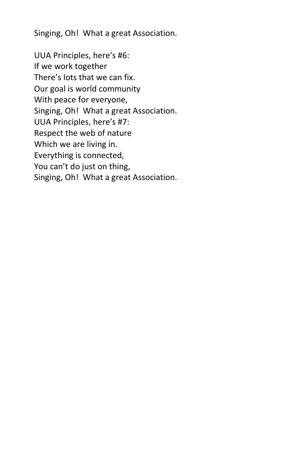Singing, Oh! What a great Association.

UUA Principles, here's #6: If we work together There's lots that we can fix. Our goal is world community With peace for everyone, Singing, Oh! What a great Association. UUA Principles, here's #7: Respect the web of nature Which we are living in. Everything is connected, You can't do just on thing, Singing, Oh! What a great Association.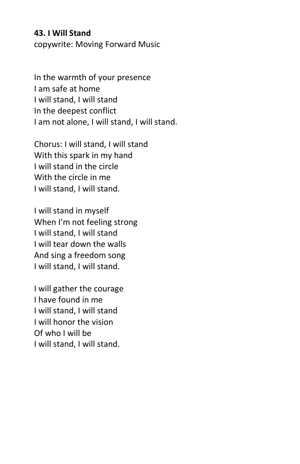#### **43. I Will Stand**

copywrite: Moving Forward Music

In the warmth of your presence I am safe at home I will stand, I will stand In the deepest conflict I am not alone, I will stand, I will stand.

Chorus: I will stand, I will stand With this spark in my hand I will stand in the circle With the circle in me I will stand, I will stand.

I will stand in myself When I'm not feeling strong I will stand, I will stand I will tear down the walls And sing a freedom song I will stand, I will stand.

I will gather the courage I have found in me I will stand, I will stand I will honor the vision Of who I will be I will stand, I will stand.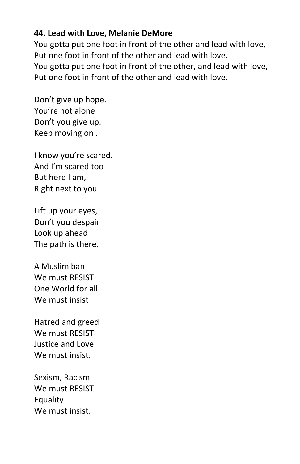#### **44. Lead with Love, Melanie DeMore**

You gotta put one foot in front of the other and lead with love, Put one foot in front of the other and lead with love.

You gotta put one foot in front of the other, and lead with love, Put one foot in front of the other and lead with love.

Don't give up hope. You're not alone Don't you give up. Keep moving on .

I know you're scared. And I'm scared too But here I am, Right next to you

Lift up your eyes, Don't you despair Look up ahead The path is there.

A Muslim ban We must RESIST One World for all We must insist

Hatred and greed We must RESIST Justice and Love We must insist.

Sexism, Racism We must RESIST **Equality** We must insist.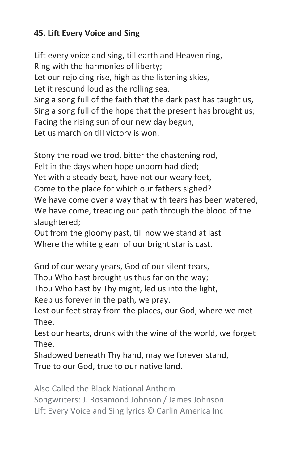# **45. Lift Every Voice and Sing**

Lift every voice and sing, till earth and Heaven ring, Ring with the harmonies of liberty; Let our rejoicing rise, high as the listening skies, Let it resound loud as the rolling sea. Sing a song full of the faith that the dark past has taught us, Sing a song full of the hope that the present has brought us; Facing the rising sun of our new day begun, Let us march on till victory is won.

Stony the road we trod, bitter the chastening rod, Felt in the days when hope unborn had died; Yet with a steady beat, have not our weary feet, Come to the place for which our fathers sighed? We have come over a way that with tears has been watered, We have come, treading our path through the blood of the slaughtered;

Out from the gloomy past, till now we stand at last Where the white gleam of our bright star is cast.

God of our weary years, God of our silent tears,

Thou Who hast brought us thus far on the way;

Thou Who hast by Thy might, led us into the light,

Keep us forever in the path, we pray.

Lest our feet stray from the places, our God, where we met Thee.

Lest our hearts, drunk with the wine of the world, we forget Thee.

Shadowed beneath Thy hand, may we forever stand, True to our God, true to our native land.

Also Called the Black National Anthem Songwriters: J. Rosamond Johnson / James Johnson Lift Every Voice and Sing lyrics © Carlin America Inc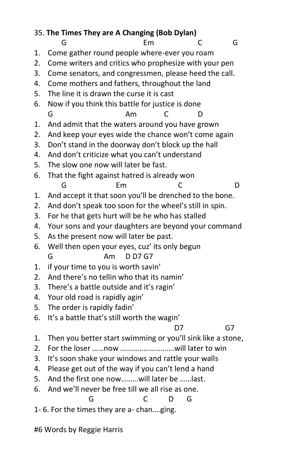|    | 35. The Times They are A Changing (Bob Dylan)               |
|----|-------------------------------------------------------------|
|    | G<br>Em<br>C<br>G                                           |
| 1. | Come gather round people where-ever you roam                |
| 2. | Come writers and critics who prophesize with your pen       |
| 3. | Come senators, and congressmen, please heed the call.       |
| 4. | Come mothers and fathers, throughout the land               |
| 5. | The line it is drawn the curse it is cast                   |
| 6. | Now if you think this battle for justice is done            |
|    | G<br>D<br>Am<br>C                                           |
| 1. | And admit that the waters around you have grown             |
| 2. | And keep your eyes wide the chance won't come again         |
| 3. | Don't stand in the doorway don't block up the hall          |
| 4. | And don't criticize what you can't understand               |
| 5. | The slow one now will later be fast.                        |
| 6. | That the fight against hatred is already won                |
|    | G<br>Em<br>D<br>C                                           |
| 1. | And accept it that soon you'll be drenched to the bone.     |
| 2. | And don't speak too soon for the wheel's still in spin.     |
| 3. | For he that gets hurt will be he who has stalled            |
| 4. | Your sons and your daughters are beyond your command        |
| 5. | As the present now will later be past.                      |
| 6. | Well then open your eyes, cuz' its only begun               |
|    | Am<br><b>DD7G7</b><br>G                                     |
| 1. | if your time to you is worth savin'                         |
| 2. | And there's no tellin who that its namin'                   |
| 3. | There's a battle outside and it's ragin'                    |
| 4. | Your old road is rapidly agin'                              |
| 5. | The order is rapidly fadin'                                 |
| 6. | It's a battle that's still worth the wagin'                 |
|    | G7<br>D7                                                    |
| 1. | Then you better start swimming or you'll sink like a stone, |
| 2. |                                                             |
| 3. | It's soon shake your windows and rattle your walls          |
| 4. | Please get out of the way if you can't lend a hand          |
| 5. | And the first one nowwill later be last.                    |
| 6. | And we'll never be free till we all rise as one.            |
|    | G<br>C<br>G<br>D                                            |
|    | 1-6. For the times they are a-changing.                     |
|    |                                                             |

#6 Words by Reggie Harris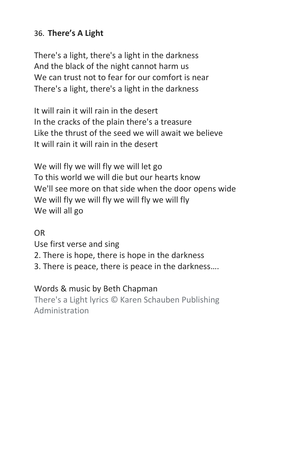# 36. **There's A Light**

There's a light, there's a light in the darkness And the black of the night cannot harm us We can trust not to fear for our comfort is near There's a light, there's a light in the darkness

It will rain it will rain in the desert In the cracks of the plain there's a treasure Like the thrust of the seed we will await we believe It will rain it will rain in the desert

We will fly we will fly we will let go To this world we will die but our hearts know We'll see more on that side when the door opens wide We will fly we will fly we will fly we will fly We will all go

# OR

Use first verse and sing

- 2. There is hope, there is hope in the darkness
- 3. There is peace, there is peace in the darkness….

Words & music by Beth Chapman There's a Light lyrics © Karen Schauben Publishing Administration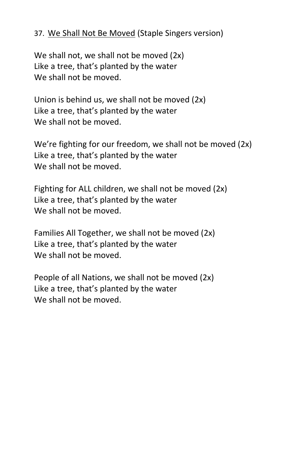# 37. We Shall Not Be Moved (Staple Singers version)

We shall not, we shall not be moved (2x) Like a tree, that's planted by the water We shall not be moved.

Union is behind us, we shall not be moved (2x) Like a tree, that's planted by the water We shall not be moved.

We're fighting for our freedom, we shall not be moved (2x) Like a tree, that's planted by the water We shall not be moved.

Fighting for ALL children, we shall not be moved (2x) Like a tree, that's planted by the water We shall not be moved.

Families All Together, we shall not be moved (2x) Like a tree, that's planted by the water We shall not be moved.

People of all Nations, we shall not be moved (2x) Like a tree, that's planted by the water We shall not be moved.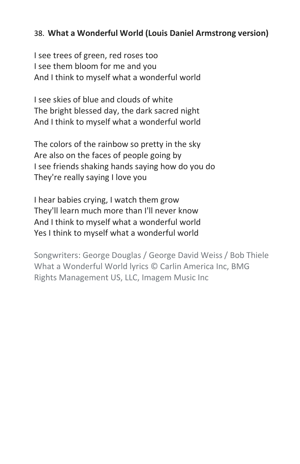# 38. **What a Wonderful World (Louis Daniel Armstrong version)**

I see trees of green, red roses too I see them bloom for me and you And I think to myself what a wonderful world

I see skies of blue and clouds of white The bright blessed day, the dark sacred night And I think to myself what a wonderful world

The colors of the rainbow so pretty in the sky Are also on the faces of people going by I see friends shaking hands saying how do you do They're really saying I love you

I hear babies crying, I watch them grow They'll learn much more than I'll never know And I think to myself what a wonderful world Yes I think to myself what a wonderful world

Songwriters: George Douglas / George David Weiss / Bob Thiele What a Wonderful World lyrics © Carlin America Inc, BMG Rights Management US, LLC, Imagem Music Inc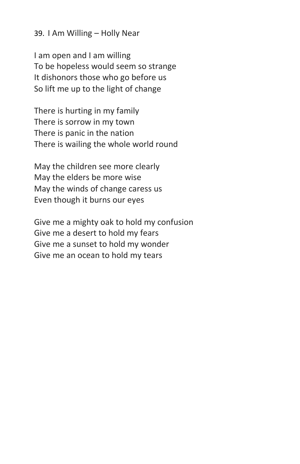#### 39. I Am Willing – Holly Near

I am open and I am willing To be hopeless would seem so strange It dishonors those who go before us So lift me up to the light of change

There is hurting in my family There is sorrow in my town There is panic in the nation There is wailing the whole world round

May the children see more clearly May the elders be more wise May the winds of change caress us Even though it burns our eyes

Give me a mighty oak to hold my confusion Give me a desert to hold my fears Give me a sunset to hold my wonder Give me an ocean to hold my tears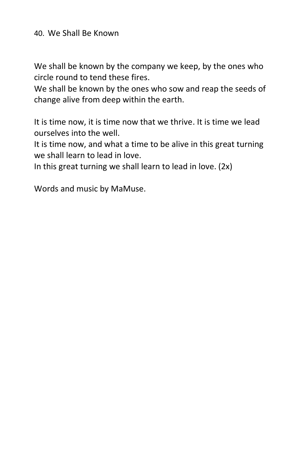#### 40. We Shall Be Known

We shall be known by the company we keep, by the ones who circle round to tend these fires.

We shall be known by the ones who sow and reap the seeds of change alive from deep within the earth.

It is time now, it is time now that we thrive. It is time we lead ourselves into the well.

It is time now, and what a time to be alive in this great turning we shall learn to lead in love.

In this great turning we shall learn to lead in love. (2x)

Words and music by MaMuse.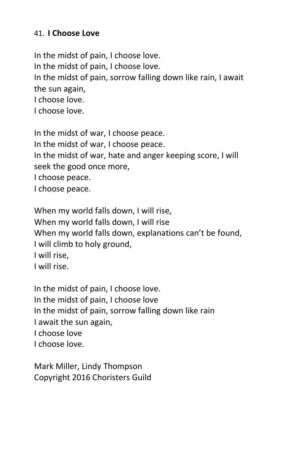#### 41. **I Choose Love**

In the midst of pain, I choose love. In the midst of pain, I choose love. In the midst of pain, sorrow falling down like rain, I await the sun again, I choose love. I choose love.

In the midst of war, I choose peace. In the midst of war, I choose peace. In the midst of war, hate and anger keeping score, I will seek the good once more, I choose peace. I choose peace.

When my world falls down, I will rise, When my world falls down, I will rise When my world falls down, explanations can't be found, I will climb to holy ground, I will rise, I will rise.

In the midst of pain, I choose love. In the midst of pain, I choose love In the midst of pain, sorrow falling down like rain I await the sun again, I choose love I choose love.

Mark Miller, Lindy Thompson Copyright 2016 Choristers Guild